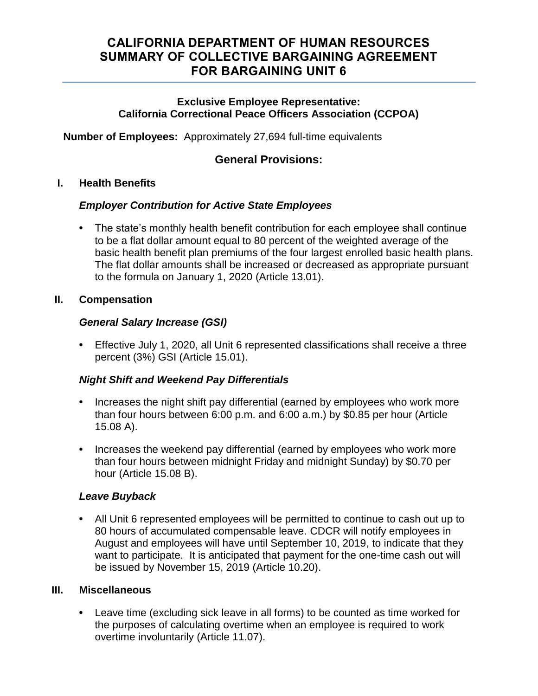# **CALIFORNIA DEPARTMENT OF HUMAN RESOURCES SUMMARY OF COLLECTIVE BARGAINING AGREEMENT FOR BARGAINING UNIT 6**

#### **Exclusive Employee Representative: California Correctional Peace Officers Association (CCPOA)**

**Number of Employees:** Approximately 27,694 full-time equivalents

### **General Provisions:**

#### **I. Health Benefits**

### *Employer Contribution for Active State Employees*

**•** The state's monthly health benefit contribution for each employee shall continue to be a flat dollar amount equal to 80 percent of the weighted average of the basic health benefit plan premiums of the four largest enrolled basic health plans. The flat dollar amounts shall be increased or decreased as appropriate pursuant to the formula on January 1, 2020 (Article 13.01).

### **II. Compensation**

### *General Salary Increase (GSI)*

**•** Effective July 1, 2020, all Unit 6 represented classifications shall receive a three percent (3%) GSI (Article 15.01).

### *Night Shift and Weekend Pay Differentials*

- **•** Increases the night shift pay differential (earned by employees who work more than four hours between 6:00 p.m. and 6:00 a.m.) by \$0.85 per hour (Article 15.08 A).
- **•** Increases the weekend pay differential (earned by employees who work more than four hours between midnight Friday and midnight Sunday) by \$0.70 per hour (Article 15.08 B).

### *Leave Buyback*

**•** All Unit 6 represented employees will be permitted to continue to cash out up to 80 hours of accumulated compensable leave. CDCR will notify employees in August and employees will have until September 10, 2019, to indicate that they want to participate. It is anticipated that payment for the one-time cash out will be issued by November 15, 2019 (Article 10.20).

#### **III. Miscellaneous**

**•** Leave time (excluding sick leave in all forms) to be counted as time worked for the purposes of calculating overtime when an employee is required to work overtime involuntarily (Article 11.07).